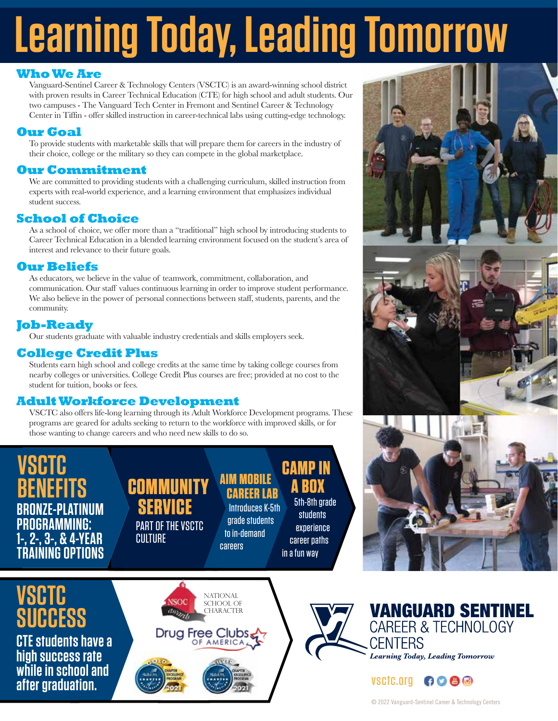# **Learning Today, Leading Tomorrow**

#### **Who We Are**

Vanguard-Sentinel Career & Technology Centers (VSCTC) is an award-winning school district with proven results in Career Technical Education (CTE) for high school and adult students. Our two campuses - The Vanguard Tech Center in Fremont and Sentinel Career & Technology Center in Tiffin - offer skilled instruction in career-technical labs using cutting-edge technology.

#### **Our Goal**

To provide students with marketable skills that will prepare them for careers in the industry of their choice, college or the military so they can compete in the global marketplace.

#### **Our Commitment**

We are committed to providing students with a challenging curriculum, skilled instruction from experts with real-world experience, and a learning environment that emphasizes individual student success.

### **School of Choice**

As a school of choice, we offer more than a "traditional" high school by introducing students to Career Technical Education in a blended learning environment focused on the student's area of interest and relevance to their future goals.

#### **Our Beliefs**

As educators, we believe in the value of teamwork, commitment, collaboration, and communication. Our staff values continuous learning in order to improve student performance. We also believe in the power of personal connections between staff, students, parents, and the community.

#### **Job-Ready**

Our students graduate with valuable industry credentials and skills employers seek.

#### **College Credit Plus**

Students earn high school and college credits at the same time by taking college courses from nearby colleges or universities. College Credit Plus courses are free; provided at no cost to the student for tuition, books or fees.

#### **Adult Workforce Development**

VSCTC also offers life-long learning through its Adult Workforce Development programs. These programs are geared for adults seeking to return to the workforce with improved skills, or for those wanting to change careers and who need new skills to do so.

#### VSHIF **BENEFITS BRONZE-PLATINUM PROGRAMMING: 1-, 2-, 3-, & 4-YEAR TRAINING OPTIONS COMMUNITY SERVICE** PART OF THE VSCTC **CULTURE AIM MOBILE CAREER LAB** Introduces K-5th grade students to in-demand careers **CAMP IN A BOX** 5th-8th grade students experience career paths in a fun way **VSCTC BIBESS** National SCHOOL OF **CHARACTER**

**CTE students have a high success rate while in school and after graduation.**







#### vsctc.org 6000